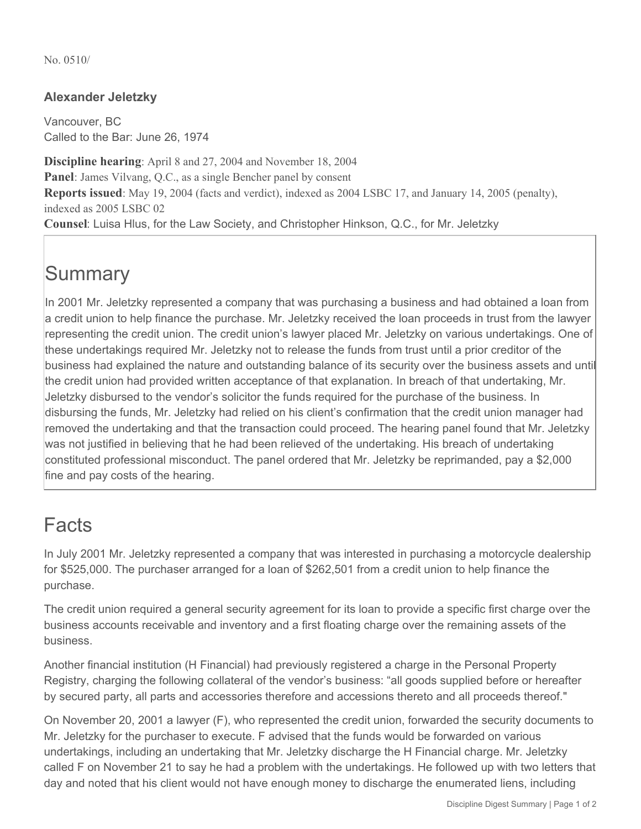No. 0510/

#### **Alexander Jeletzky**

Vancouver, BC Called to the Bar: June 26, 1974

**Discipline hearing**: April 8 and 27, 2004 and November 18, 2004 **Panel**: James Vilvang, Q.C., as a single Bencher panel by consent **Reports issued**: May 19, 2004 (facts and verdict), indexed as 2004 LSBC 17, and January 14, 2005 (penalty), indexed as 2005 LSBC 02 **Counsel**: Luisa Hlus, for the Law Society, and Christopher Hinkson, Q.C., for Mr. Jeletzky

# **Summary**

In 2001 Mr. Jeletzky represented a company that was purchasing a business and had obtained a loan from a credit union to help finance the purchase. Mr. Jeletzky received the loan proceeds in trust from the lawyer representing the credit union. The credit union's lawyer placed Mr. Jeletzky on various undertakings. One of these undertakings required Mr. Jeletzky not to release the funds from trust until a prior creditor of the business had explained the nature and outstanding balance of its security over the business assets and until the credit union had provided written acceptance of that explanation. In breach of that undertaking, Mr. Jeletzky disbursed to the vendor's solicitor the funds required for the purchase of the business. In disbursing the funds, Mr. Jeletzky had relied on his client's confirmation that the credit union manager had removed the undertaking and that the transaction could proceed. The hearing panel found that Mr. Jeletzky was not justified in believing that he had been relieved of the undertaking. His breach of undertaking constituted professional misconduct. The panel ordered that Mr. Jeletzky be reprimanded, pay a \$2,000 fine and pay costs of the hearing.

### Facts

In July 2001 Mr. Jeletzky represented a company that was interested in purchasing a motorcycle dealership for \$525,000. The purchaser arranged for a loan of \$262,501 from a credit union to help finance the purchase.

The credit union required a general security agreement for its loan to provide a specific first charge over the business accounts receivable and inventory and a first floating charge over the remaining assets of the business.

Another financial institution (H Financial) had previously registered a charge in the Personal Property Registry, charging the following collateral of the vendor's business: "all goods supplied before or hereafter by secured party, all parts and accessories therefore and accessions thereto and all proceeds thereof."

On November 20, 2001 a lawyer (F), who represented the credit union, forwarded the security documents to Mr. Jeletzky for the purchaser to execute. F advised that the funds would be forwarded on various undertakings, including an undertaking that Mr. Jeletzky discharge the H Financial charge. Mr. Jeletzky called F on November 21 to say he had a problem with the undertakings. He followed up with two letters that day and noted that his client would not have enough money to discharge the enumerated liens, including